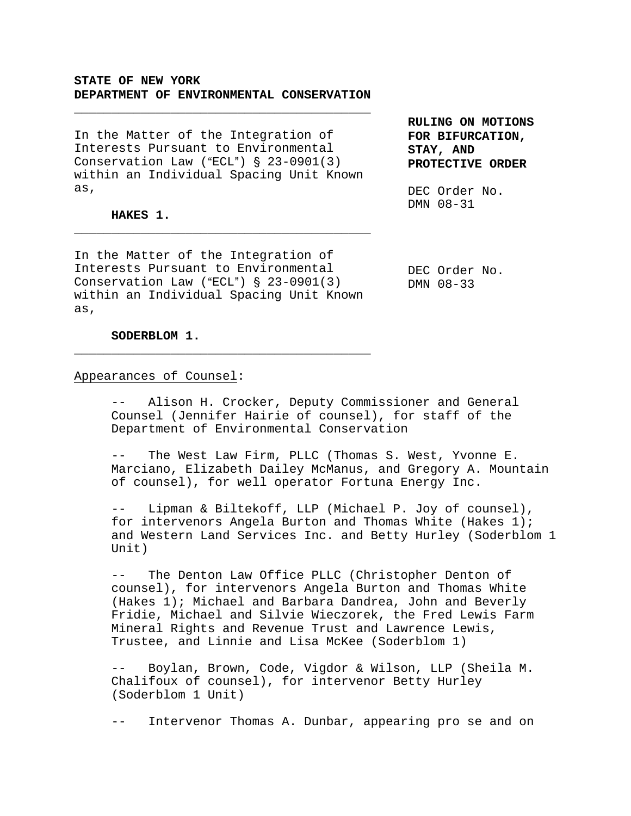# **STATE OF NEW YORK DEPARTMENT OF ENVIRONMENTAL CONSERVATION**

\_\_\_\_\_\_\_\_\_\_\_\_\_\_\_\_\_\_\_\_\_\_\_\_\_\_\_\_\_\_\_\_\_\_\_\_\_\_\_\_

In the Matter of the Integration of Interests Pursuant to Environmental Conservation Law ("ECL")  $\S$  23-0901(3) within an Individual Spacing Unit Known as,

### **HAKES 1.**

In the Matter of the Integration of Interests Pursuant to Environmental Conservation Law ("ECL")  $\S$  23-0901(3) within an Individual Spacing Unit Known as,

\_\_\_\_\_\_\_\_\_\_\_\_\_\_\_\_\_\_\_\_\_\_\_\_\_\_\_\_\_\_\_\_\_\_\_\_\_\_\_\_

\_\_\_\_\_\_\_\_\_\_\_\_\_\_\_\_\_\_\_\_\_\_\_\_\_\_\_\_\_\_\_\_\_\_\_\_\_\_\_\_

**RULING ON MOTIONS FOR BIFURCATION, STAY, AND PROTECTIVE ORDER**

DEC Order No. DMN 08-31

DEC Order No. DMN 08-33

**SODERBLOM 1.**

Appearances of Counsel:

Alison H. Crocker, Deputy Commissioner and General Counsel (Jennifer Hairie of counsel), for staff of the Department of Environmental Conservation

The West Law Firm, PLLC (Thomas S. West, Yvonne E. Marciano, Elizabeth Dailey McManus, and Gregory A. Mountain of counsel), for well operator Fortuna Energy Inc.

-- Lipman & Biltekoff, LLP (Michael P. Joy of counsel), for intervenors Angela Burton and Thomas White (Hakes 1); and Western Land Services Inc. and Betty Hurley (Soderblom 1 Unit)

The Denton Law Office PLLC (Christopher Denton of counsel), for intervenors Angela Burton and Thomas White (Hakes 1); Michael and Barbara Dandrea, John and Beverly Fridie, Michael and Silvie Wieczorek, the Fred Lewis Farm Mineral Rights and Revenue Trust and Lawrence Lewis, Trustee, and Linnie and Lisa McKee (Soderblom 1)

Boylan, Brown, Code, Vigdor & Wilson, LLP (Sheila M. Chalifoux of counsel), for intervenor Betty Hurley (Soderblom 1 Unit)

-- Intervenor Thomas A. Dunbar, appearing pro se and on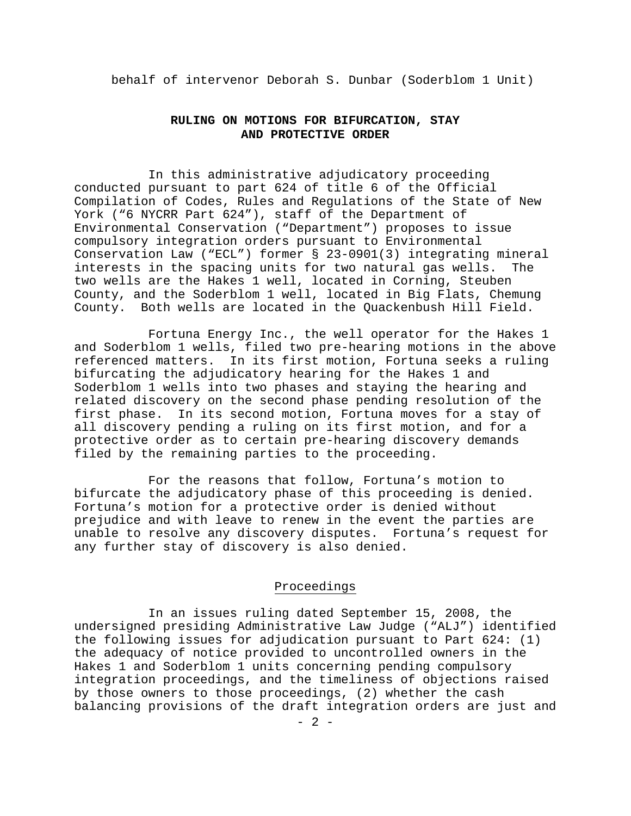behalf of intervenor Deborah S. Dunbar (Soderblom 1 Unit)

# **RULING ON MOTIONS FOR BIFURCATION, STAY AND PROTECTIVE ORDER**

In this administrative adjudicatory proceeding conducted pursuant to part 624 of title 6 of the Official Compilation of Codes, Rules and Regulations of the State of New York ("6 NYCRR Part 624"), staff of the Department of Environmental Conservation ("Department") proposes to issue compulsory integration orders pursuant to Environmental Conservation Law ("ECL") former § 23-0901(3) integrating mineral interests in the spacing units for two natural gas wells. The two wells are the Hakes 1 well, located in Corning, Steuben County, and the Soderblom 1 well, located in Big Flats, Chemung County. Both wells are located in the Quackenbush Hill Field.

Fortuna Energy Inc., the well operator for the Hakes 1 and Soderblom 1 wells, filed two pre-hearing motions in the above referenced matters. In its first motion, Fortuna seeks a ruling bifurcating the adjudicatory hearing for the Hakes 1 and Soderblom 1 wells into two phases and staying the hearing and related discovery on the second phase pending resolution of the first phase. In its second motion, Fortuna moves for a stay of all discovery pending a ruling on its first motion, and for a protective order as to certain pre-hearing discovery demands filed by the remaining parties to the proceeding.

For the reasons that follow, Fortuna's motion to bifurcate the adjudicatory phase of this proceeding is denied. Fortuna's motion for a protective order is denied without prejudice and with leave to renew in the event the parties are unable to resolve any discovery disputes. Fortuna's request for any further stay of discovery is also denied.

## Proceedings

In an issues ruling dated September 15, 2008, the undersigned presiding Administrative Law Judge ("ALJ") identified the following issues for adjudication pursuant to Part 624: (1) the adequacy of notice provided to uncontrolled owners in the Hakes 1 and Soderblom 1 units concerning pending compulsory integration proceedings, and the timeliness of objections raised by those owners to those proceedings, (2) whether the cash balancing provisions of the draft integration orders are just and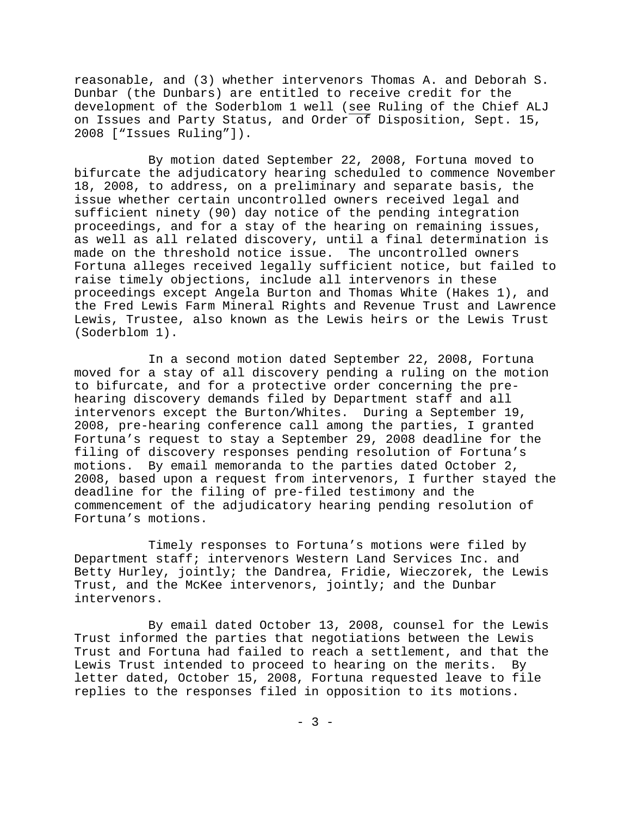reasonable, and (3) whether intervenors Thomas A. and Deborah S. Dunbar (the Dunbars) are entitled to receive credit for the development of the Soderblom 1 well (see Ruling of the Chief ALJ on Issues and Party Status, and Order of Disposition, Sept. 15, 2008 ["Issues Ruling"]).

By motion dated September 22, 2008, Fortuna moved to bifurcate the adjudicatory hearing scheduled to commence November 18, 2008, to address, on a preliminary and separate basis, the issue whether certain uncontrolled owners received legal and sufficient ninety (90) day notice of the pending integration proceedings, and for a stay of the hearing on remaining issues, as well as all related discovery, until a final determination is made on the threshold notice issue. The uncontrolled owners Fortuna alleges received legally sufficient notice, but failed to raise timely objections, include all intervenors in these proceedings except Angela Burton and Thomas White (Hakes 1), and the Fred Lewis Farm Mineral Rights and Revenue Trust and Lawrence Lewis, Trustee, also known as the Lewis heirs or the Lewis Trust (Soderblom 1).

In a second motion dated September 22, 2008, Fortuna moved for a stay of all discovery pending a ruling on the motion to bifurcate, and for a protective order concerning the prehearing discovery demands filed by Department staff and all intervenors except the Burton/Whites. During a September 19, 2008, pre-hearing conference call among the parties, I granted Fortuna's request to stay a September 29, 2008 deadline for the filing of discovery responses pending resolution of Fortuna's motions. By email memoranda to the parties dated October 2, 2008, based upon a request from intervenors, I further stayed the deadline for the filing of pre-filed testimony and the commencement of the adjudicatory hearing pending resolution of Fortuna's motions.

Timely responses to Fortuna's motions were filed by Department staff; intervenors Western Land Services Inc. and Betty Hurley, jointly; the Dandrea, Fridie, Wieczorek, the Lewis Trust, and the McKee intervenors, jointly; and the Dunbar intervenors.

By email dated October 13, 2008, counsel for the Lewis Trust informed the parties that negotiations between the Lewis Trust and Fortuna had failed to reach a settlement, and that the Lewis Trust intended to proceed to hearing on the merits. By letter dated, October 15, 2008, Fortuna requested leave to file replies to the responses filed in opposition to its motions.

- 3 -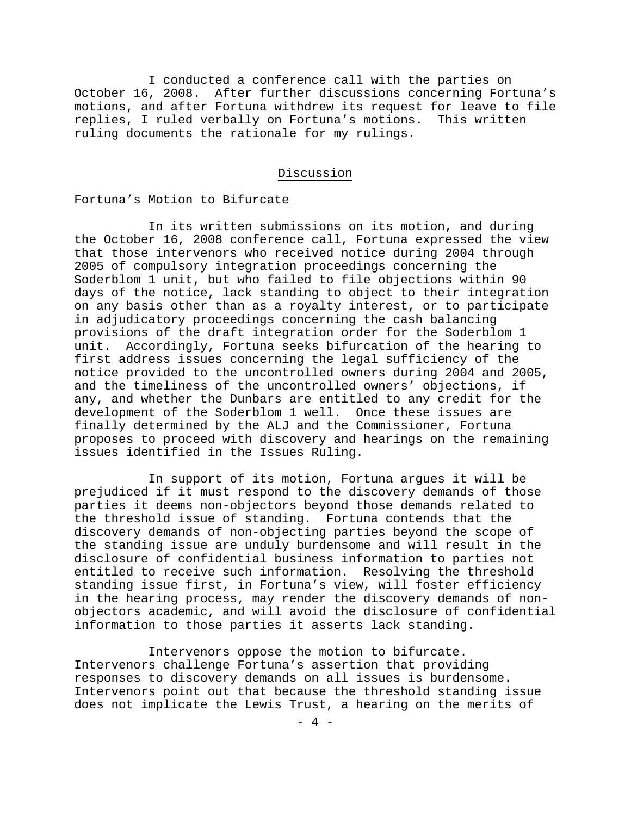I conducted a conference call with the parties on October 16, 2008. After further discussions concerning Fortuna's motions, and after Fortuna withdrew its request for leave to file replies, I ruled verbally on Fortuna's motions. This written ruling documents the rationale for my rulings.

#### Discussion

#### Fortuna's Motion to Bifurcate

In its written submissions on its motion, and during the October 16, 2008 conference call, Fortuna expressed the view that those intervenors who received notice during 2004 through 2005 of compulsory integration proceedings concerning the Soderblom 1 unit, but who failed to file objections within 90 days of the notice, lack standing to object to their integration on any basis other than as a royalty interest, or to participate in adjudicatory proceedings concerning the cash balancing provisions of the draft integration order for the Soderblom 1 unit. Accordingly, Fortuna seeks bifurcation of the hearing to first address issues concerning the legal sufficiency of the notice provided to the uncontrolled owners during 2004 and 2005, and the timeliness of the uncontrolled owners' objections, if any, and whether the Dunbars are entitled to any credit for the development of the Soderblom 1 well. Once these issues are finally determined by the ALJ and the Commissioner, Fortuna proposes to proceed with discovery and hearings on the remaining issues identified in the Issues Ruling.

In support of its motion, Fortuna argues it will be prejudiced if it must respond to the discovery demands of those parties it deems non-objectors beyond those demands related to the threshold issue of standing. Fortuna contends that the discovery demands of non-objecting parties beyond the scope of the standing issue are unduly burdensome and will result in the disclosure of confidential business information to parties not entitled to receive such information. Resolving the threshold standing issue first, in Fortuna's view, will foster efficiency in the hearing process, may render the discovery demands of nonobjectors academic, and will avoid the disclosure of confidential information to those parties it asserts lack standing.

Intervenors oppose the motion to bifurcate. Intervenors challenge Fortuna's assertion that providing responses to discovery demands on all issues is burdensome. Intervenors point out that because the threshold standing issue does not implicate the Lewis Trust, a hearing on the merits of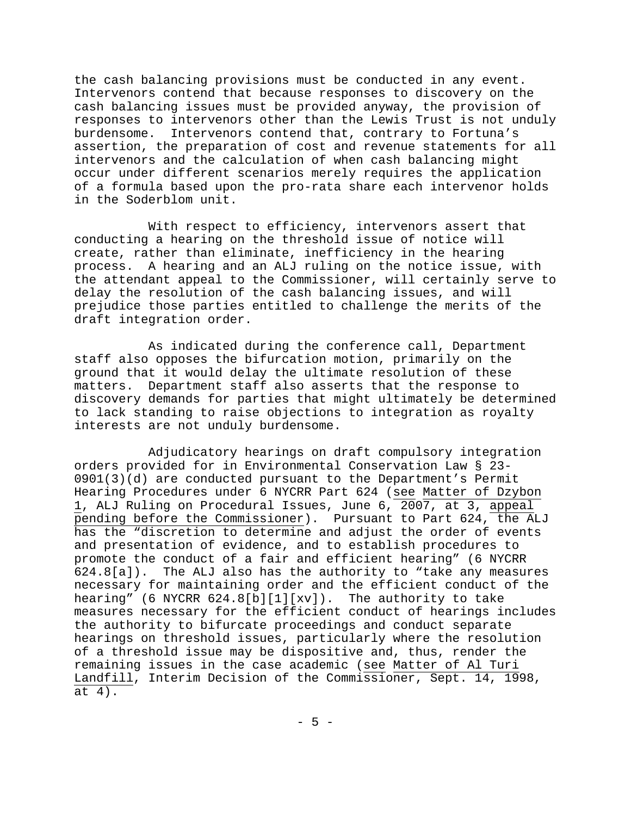the cash balancing provisions must be conducted in any event. Intervenors contend that because responses to discovery on the cash balancing issues must be provided anyway, the provision of responses to intervenors other than the Lewis Trust is not unduly burdensome. Intervenors contend that, contrary to Fortuna's assertion, the preparation of cost and revenue statements for all intervenors and the calculation of when cash balancing might occur under different scenarios merely requires the application of a formula based upon the pro-rata share each intervenor holds in the Soderblom unit.

With respect to efficiency, intervenors assert that conducting a hearing on the threshold issue of notice will create, rather than eliminate, inefficiency in the hearing process. A hearing and an ALJ ruling on the notice issue, with the attendant appeal to the Commissioner, will certainly serve to delay the resolution of the cash balancing issues, and will prejudice those parties entitled to challenge the merits of the draft integration order.

As indicated during the conference call, Department staff also opposes the bifurcation motion, primarily on the ground that it would delay the ultimate resolution of these matters. Department staff also asserts that the response to discovery demands for parties that might ultimately be determined to lack standing to raise objections to integration as royalty interests are not unduly burdensome.

Adjudicatory hearings on draft compulsory integration orders provided for in Environmental Conservation Law § 23- 0901(3)(d) are conducted pursuant to the Department's Permit Hearing Procedures under 6 NYCRR Part 624 (see Matter of Dzybon 1, ALJ Ruling on Procedural Issues, June 6, 2007, at 3, appeal pending before the Commissioner). Pursuant to Part 624, the ALJ has the "discretion to determine and adjust the order of events and presentation of evidence, and to establish procedures to promote the conduct of a fair and efficient hearing" (6 NYCRR 624.8[a]). The ALJ also has the authority to "take any measures necessary for maintaining order and the efficient conduct of the hearing" (6 NYCRR 624.8[b][1][xv]). The authority to take measures necessary for the efficient conduct of hearings includes the authority to bifurcate proceedings and conduct separate hearings on threshold issues, particularly where the resolution of a threshold issue may be dispositive and, thus, render the remaining issues in the case academic (see Matter of Al Turi Landfill, Interim Decision of the Commissioner, Sept. 14, 1998, at 4).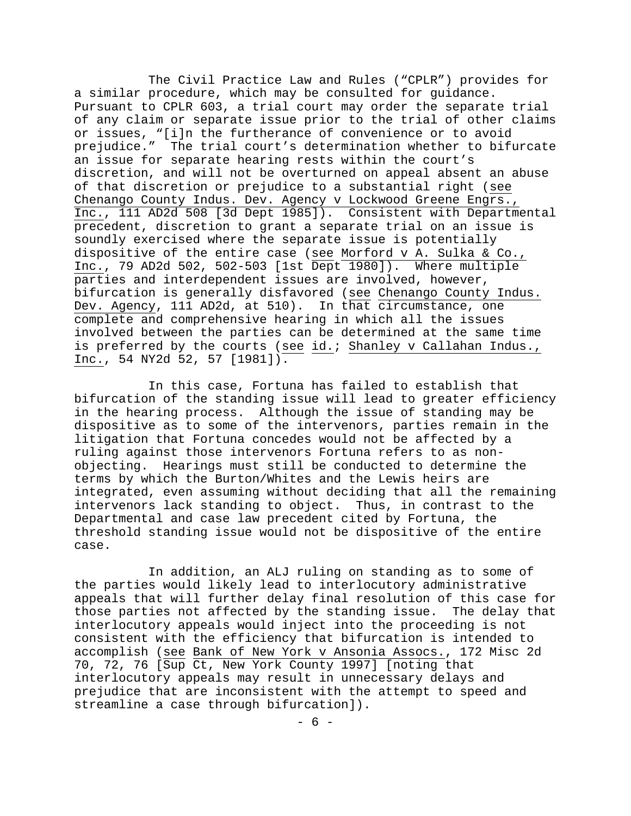The Civil Practice Law and Rules ("CPLR") provides for a similar procedure, which may be consulted for guidance. Pursuant to CPLR 603, a trial court may order the separate trial of any claim or separate issue prior to the trial of other claims or issues, "[i]n the furtherance of convenience or to avoid prejudice." The trial court's determination whether to bifurcate an issue for separate hearing rests within the court's discretion, and will not be overturned on appeal absent an abuse of that discretion or prejudice to a substantial right (see Chenango County Indus. Dev. Agency v Lockwood Greene Engrs., Inc., 111 AD2d 508 [3d Dept 1985]). Consistent with Departmental precedent, discretion to grant a separate trial on an issue is soundly exercised where the separate issue is potentially dispositive of the entire case (see Morford v A. Sulka & Co., Inc., 79 AD2d 502, 502-503 [1st Dept 1980]). Where multiple parties and interdependent issues are involved, however, bifurcation is generally disfavored (see Chenango County Indus. Dev. Agency, 111 AD2d, at 510). In that circumstance, one complete and comprehensive hearing in which all the issues involved between the parties can be determined at the same time is preferred by the courts (see id.; Shanley v Callahan Indus., Inc., 54 NY2d 52, 57 [1981]).

In this case, Fortuna has failed to establish that bifurcation of the standing issue will lead to greater efficiency in the hearing process. Although the issue of standing may be dispositive as to some of the intervenors, parties remain in the litigation that Fortuna concedes would not be affected by a ruling against those intervenors Fortuna refers to as nonobjecting. Hearings must still be conducted to determine the terms by which the Burton/Whites and the Lewis heirs are integrated, even assuming without deciding that all the remaining intervenors lack standing to object. Thus, in contrast to the Departmental and case law precedent cited by Fortuna, the threshold standing issue would not be dispositive of the entire case.

In addition, an ALJ ruling on standing as to some of the parties would likely lead to interlocutory administrative appeals that will further delay final resolution of this case for those parties not affected by the standing issue. The delay that interlocutory appeals would inject into the proceeding is not consistent with the efficiency that bifurcation is intended to accomplish (see Bank of New York v Ansonia Assocs., 172 Misc 2d 70, 72, 76 [Sup Ct, New York County 1997] [noting that interlocutory appeals may result in unnecessary delays and prejudice that are inconsistent with the attempt to speed and streamline a case through bifurcation]).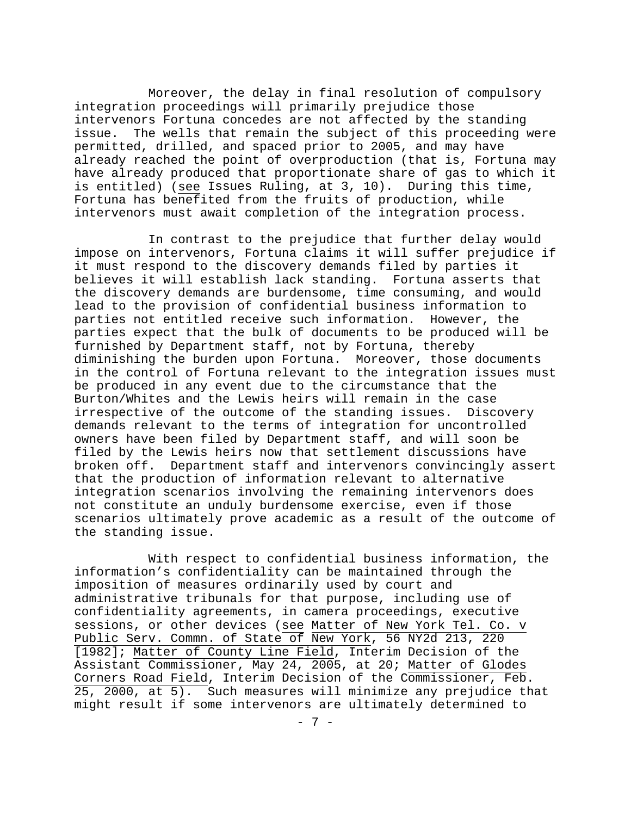Moreover, the delay in final resolution of compulsory integration proceedings will primarily prejudice those intervenors Fortuna concedes are not affected by the standing issue. The wells that remain the subject of this proceeding were permitted, drilled, and spaced prior to 2005, and may have already reached the point of overproduction (that is, Fortuna may have already produced that proportionate share of gas to which it is entitled) (see Issues Ruling, at 3, 10). During this time, Fortuna has benefited from the fruits of production, while intervenors must await completion of the integration process.

In contrast to the prejudice that further delay would impose on intervenors, Fortuna claims it will suffer prejudice if it must respond to the discovery demands filed by parties it believes it will establish lack standing. Fortuna asserts that the discovery demands are burdensome, time consuming, and would lead to the provision of confidential business information to parties not entitled receive such information. However, the parties expect that the bulk of documents to be produced will be furnished by Department staff, not by Fortuna, thereby diminishing the burden upon Fortuna. Moreover, those documents in the control of Fortuna relevant to the integration issues must be produced in any event due to the circumstance that the Burton/Whites and the Lewis heirs will remain in the case irrespective of the outcome of the standing issues. Discovery demands relevant to the terms of integration for uncontrolled owners have been filed by Department staff, and will soon be filed by the Lewis heirs now that settlement discussions have broken off. Department staff and intervenors convincingly assert that the production of information relevant to alternative integration scenarios involving the remaining intervenors does not constitute an unduly burdensome exercise, even if those scenarios ultimately prove academic as a result of the outcome of the standing issue.

With respect to confidential business information, the information's confidentiality can be maintained through the imposition of measures ordinarily used by court and administrative tribunals for that purpose, including use of confidentiality agreements, in camera proceedings, executive sessions, or other devices (see Matter of New York Tel. Co. v Public Serv. Commn. of State of New York, 56 NY2d 213, 220 [1982]; Matter of County Line Field, Interim Decision of the Assistant Commissioner, May 24, 2005, at 20; Matter of Glodes Corners Road Field, Interim Decision of the Commissioner, Feb. 25, 2000, at 5). Such measures will minimize any prejudice that might result if some intervenors are ultimately determined to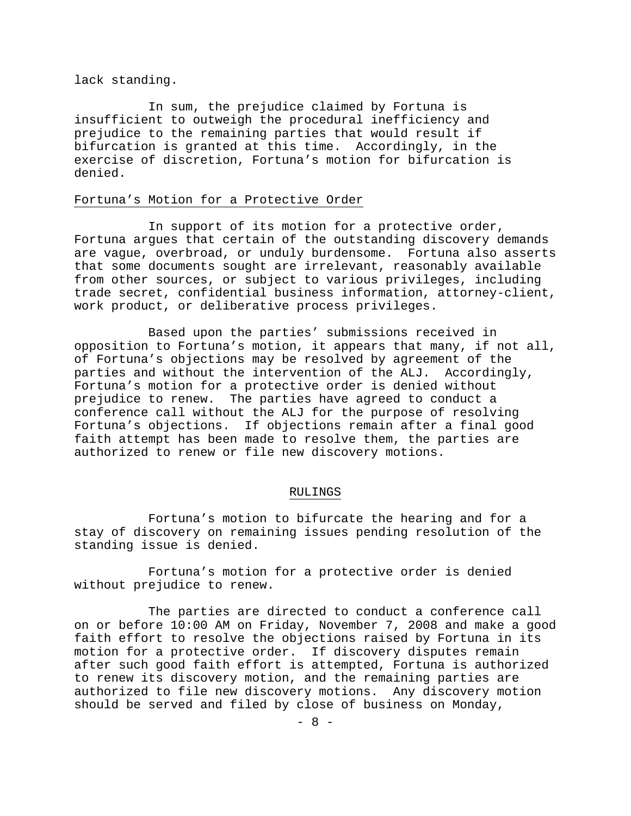lack standing.

In sum, the prejudice claimed by Fortuna is insufficient to outweigh the procedural inefficiency and prejudice to the remaining parties that would result if bifurcation is granted at this time. Accordingly, in the exercise of discretion, Fortuna's motion for bifurcation is denied.

### Fortuna's Motion for a Protective Order

In support of its motion for a protective order, Fortuna argues that certain of the outstanding discovery demands are vague, overbroad, or unduly burdensome. Fortuna also asserts that some documents sought are irrelevant, reasonably available from other sources, or subject to various privileges, including trade secret, confidential business information, attorney-client, work product, or deliberative process privileges.

Based upon the parties' submissions received in opposition to Fortuna's motion, it appears that many, if not all, of Fortuna's objections may be resolved by agreement of the parties and without the intervention of the ALJ. Accordingly, Fortuna's motion for a protective order is denied without prejudice to renew. The parties have agreed to conduct a conference call without the ALJ for the purpose of resolving Fortuna's objections. If objections remain after a final good faith attempt has been made to resolve them, the parties are authorized to renew or file new discovery motions.

#### RULINGS

Fortuna's motion to bifurcate the hearing and for a stay of discovery on remaining issues pending resolution of the standing issue is denied.

Fortuna's motion for a protective order is denied without prejudice to renew.

The parties are directed to conduct a conference call on or before 10:00 AM on Friday, November 7, 2008 and make a good faith effort to resolve the objections raised by Fortuna in its motion for a protective order. If discovery disputes remain after such good faith effort is attempted, Fortuna is authorized to renew its discovery motion, and the remaining parties are authorized to file new discovery motions. Any discovery motion should be served and filed by close of business on Monday,